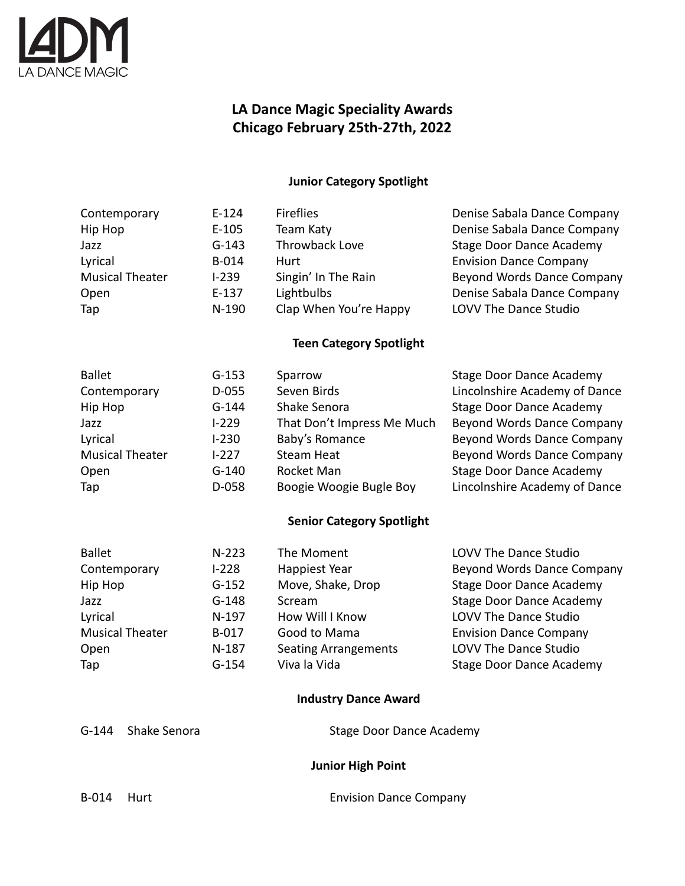

## **LA Dance Magic Speciality Awards Chicago February 25th-27th, 2022**

## **Junior Category Spotlight**

| Contemporary           | $E-124$   | <b>Fireflies</b>       | Denise Sabala Dance Company     |
|------------------------|-----------|------------------------|---------------------------------|
| Hip Hop                | $E-105$   | Team Katy              | Denise Sabala Dance Company     |
| Jazz                   | $G-143$   | Throwback Love         | <b>Stage Door Dance Academy</b> |
| Lyrical                | $B-014$   | Hurt                   | <b>Envision Dance Company</b>   |
| <b>Musical Theater</b> | $1 - 239$ | Singin' In The Rain    | Beyond Words Dance Company      |
| Open                   | $E-137$   | Lightbulbs             | Denise Sabala Dance Company     |
| Tap                    | $N-190$   | Clap When You're Happy | LOVV The Dance Studio           |
|                        |           |                        |                                 |

#### **Teen Category Spotlight**

| <b>Ballet</b>          | $G-153$   | Sparrow                    | <b>Stage Door Dance Academy</b> |
|------------------------|-----------|----------------------------|---------------------------------|
| Contemporary           | $D-055$   | Seven Birds                | Lincolnshire Academy of Dance   |
| Hip Hop                | $G-144$   | Shake Senora               | <b>Stage Door Dance Academy</b> |
| Jazz                   | $1 - 229$ | That Don't Impress Me Much | Beyond Words Dance Company      |
| Lyrical                | $1-230$   | Baby's Romance             | Beyond Words Dance Company      |
| <b>Musical Theater</b> | $1 - 227$ | <b>Steam Heat</b>          | Beyond Words Dance Company      |
| Open                   | $G-140$   | Rocket Man                 | <b>Stage Door Dance Academy</b> |
| Tap                    | $D-058$   | Boogie Woogie Bugle Boy    | Lincolnshire Academy of Dance   |

## **Senior Category Spotlight**

| <b>Ballet</b>          | $N-223$   | The Moment                  | LOVV The Dance Studio           |
|------------------------|-----------|-----------------------------|---------------------------------|
| Contemporary           | $1 - 228$ | Happiest Year               | Beyond Words Dance Company      |
| Hip Hop                | $G-152$   | Move, Shake, Drop           | <b>Stage Door Dance Academy</b> |
| Jazz                   | $G-148$   | Scream                      | <b>Stage Door Dance Academy</b> |
| Lyrical                | $N-197$   | How Will I Know             | LOVV The Dance Studio           |
| <b>Musical Theater</b> | B-017     | Good to Mama                | <b>Envision Dance Company</b>   |
| Open                   | $N-187$   | <b>Seating Arrangements</b> | LOVV The Dance Studio           |
| Tap                    | $G-154$   | Viva la Vida                | <b>Stage Door Dance Academy</b> |

## **Industry Dance Award**

|  | G-144 Shake Senora | <b>Stage Door Dance Academy</b> |
|--|--------------------|---------------------------------|
|--|--------------------|---------------------------------|

#### **Junior High Point**

| B-014 | Hurt |
|-------|------|
|       |      |

Envision Dance Company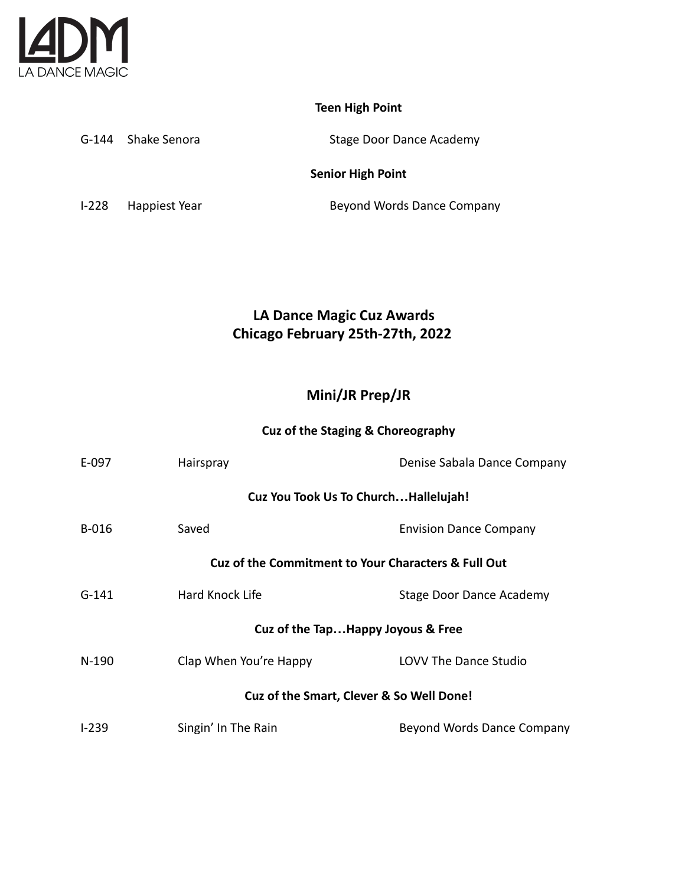

## **Teen High Point**

G-144 Shake Senora Stage Door Dance Academy

#### **Senior High Point**

I-228 Happiest Year **Beyond Words Dance Company** 

# **LA Dance Magic Cuz Awards Chicago February 25th-27th, 2022**

## **Mini/JR Prep/JR**

#### **Cuz of the Staging & Choreography**

| E-097                                               | Hairspray                                                      | Denise Sabala Dance Company   |  |
|-----------------------------------------------------|----------------------------------------------------------------|-------------------------------|--|
|                                                     | Cuz You Took Us To ChurchHallelujah!                           |                               |  |
| B-016                                               | Saved                                                          | <b>Envision Dance Company</b> |  |
|                                                     | <b>Cuz of the Commitment to Your Characters &amp; Full Out</b> |                               |  |
| $G-141$                                             | Hard Knock Life                                                | Stage Door Dance Academy      |  |
|                                                     | Cuz of the TapHappy Joyous & Free                              |                               |  |
| $N-190$                                             | Clap When You're Happy                                         | <b>LOVV The Dance Studio</b>  |  |
| <b>Cuz of the Smart, Clever &amp; So Well Done!</b> |                                                                |                               |  |
| $1-239$                                             | Singin' In The Rain                                            | Beyond Words Dance Company    |  |